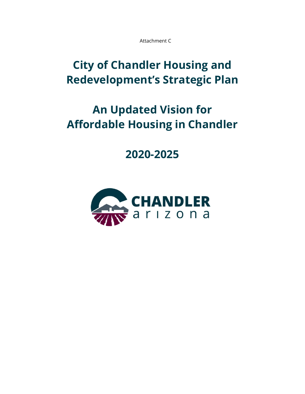Attachment C

## **City of Chandler Housing and Redevelopment's Strategic Plan**

# **An Updated Vision for Affordable Housing in Chandler**

### **2020-2025**

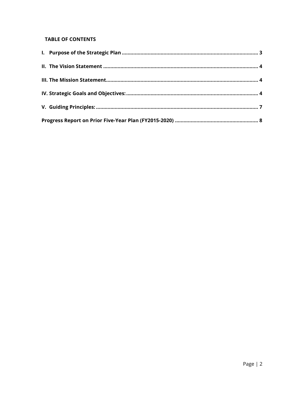#### **TABLE OF CONTENTS**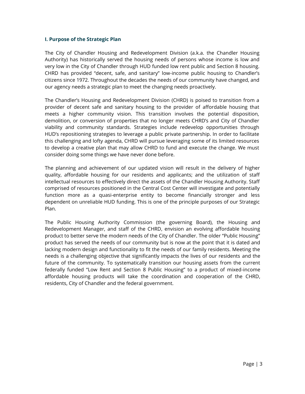#### <span id="page-2-0"></span>**I. Purpose of the Strategic Plan**

The City of Chandler Housing and Redevelopment Division (a.k.a. the Chandler Housing Authority) has historically served the housing needs of persons whose income is low and very low in the City of Chandler through HUD funded low rent public and Section 8 housing. CHRD has provided "decent, safe, and sanitary" low-income public housing to Chandler's citizens since 1972. Throughout the decades the needs of our community have changed, and our agency needs a strategic plan to meet the changing needs proactively.

The Chandler's Housing and Redevelopment Division (CHRD) is poised to transition from a provider of decent safe and sanitary housing to the provider of affordable housing that meets a higher community vision. This transition involves the potential disposition, demolition, or conversion of properties that no longer meets CHRD's and City of Chandler viability and community standards. Strategies include redevelop opportunities through HUD's repositioning strategies to leverage a public private partnership. In order to facilitate this challenging and lofty agenda, CHRD will pursue leveraging some of its limited resources to develop a creative plan that may allow CHRD to fund and execute the change. We must consider doing some things we have never done before.

The planning and achievement of our updated vision will result in the delivery of higher quality, affordable housing for our residents and applicants; and the utilization of staff intellectual resources to effectively direct the assets of the Chandler Housing Authority. Staff comprised of resources positioned in the Central Cost Center will investigate and potentially function more as a quasi-enterprise entity to become financially stronger and less dependent on unreliable HUD funding. This is one of the principle purposes of our Strategic Plan.

The Public Housing Authority Commission (the governing Board), the Housing and Redevelopment Manager, and staff of the CHRD, envision an evolving affordable housing product to better serve the modern needs of the City of Chandler. The older "Public Housing" product has served the needs of our community but is now at the point that it is dated and lacking modern design and functionality to fit the needs of our family residents. Meeting the needs is a challenging objective that significantly impacts the lives of our residents and the future of the community. To systematically transition our housing assets from the current federally funded "Low Rent and Section 8 Public Housing" to a product of mixed-income affordable housing products will take the coordination and cooperation of the CHRD, residents, City of Chandler and the federal government.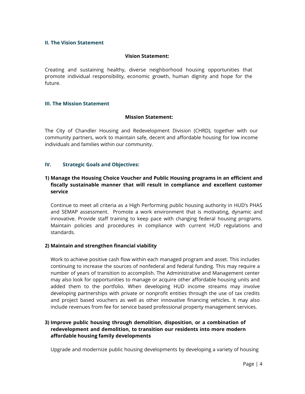#### <span id="page-3-0"></span>**II. The Vision Statement**

#### **Vision Statement:**

Creating and sustaining healthy, diverse neighborhood housing opportunities that promote individual responsibility, economic growth, human dignity and hope for the future.

#### <span id="page-3-1"></span>**III. The Mission Statement**

#### **Mission Statement:**

The City of Chandler Housing and Redevelopment Division (CHRD), together with our community partners, work to maintain safe, decent and affordable housing for low income individuals and families within our community.

#### <span id="page-3-2"></span>**IV. Strategic Goals and Objectives:**

#### **1) Manage the Housing Choice Voucher and Public Housing programs in an efficient and fiscally sustainable manner that will result in compliance and excellent customer service**

Continue to meet all criteria as a High Performing public housing authority in HUD's PHAS and SEMAP assessment. Promote a work environment that is motivating, dynamic and innovative. Provide staff training to keep pace with changing federal housing programs. Maintain policies and procedures in compliance with current HUD regulations and standards.

#### **2) Maintain and strengthen financial viability**

Work to achieve positive cash flow within each managed program and asset. This includes continuing to increase the sources of nonfederal and federal funding. This may require a number of years of transition to accomplish. The Administrative and Management center may also look for opportunities to manage or acquire other affordable housing units and added them to the portfolio. When developing HUD income streams may involve developing partnerships with private or nonprofit entities through the use of tax credits and project based vouchers as well as other innovative financing vehicles. It may also include revenues from fee for service based professional property management services.

#### **3) Improve public housing through demolition, disposition, or a combination of redevelopment and demolition, to transition our residents into more modern affordable housing family developments**

Upgrade and modernize public housing developments by developing a variety of housing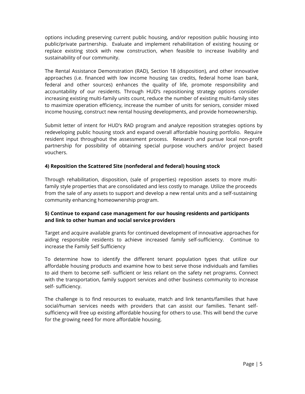options including preserving current public housing, and/or reposition public housing into public/private partnership. Evaluate and implement rehabilitation of existing housing or replace existing stock with new construction, when feasible to increase livability and sustainability of our community.

The Rental Assistance Demonstration (RAD), Section 18 (disposition), and other innovative approaches (i.e. financed with low income housing tax credits, federal home loan bank, federal and other sources) enhances the quality of life, promote responsibility and accountability of our residents. Through HUD's repositioning strategy options consider increasing existing multi-family units count, reduce the number of existing multi-family sites to maximize operation efficiency, increase the number of units for seniors, consider mixed income housing, construct new rental housing developments, and provide homeownership.

Submit letter of intent for HUD's RAD program and analyze reposition strategies options by redeveloping public housing stock and expand overall affordable housing portfolio. Require resident input throughout the assessment process. Research and pursue local non-profit partnership for possibility of obtaining special purpose vouchers and/or project based vouchers.

#### **4) Reposition the Scattered Site (nonfederal and federal) housing stock**

Through rehabilitation, disposition, (sale of properties) reposition assets to more multifamily style properties that are consolidated and less costly to manage. Utilize the proceeds from the sale of any assets to support and develop a new rental units and a self-sustaining community enhancing homeownership program.

#### **5) Continue to expand case management for our housing residents and participants and link to other human and social service providers**

Target and acquire available grants for continued development of innovative approaches for aiding responsible residents to achieve increased family self-sufficiency. Continue to increase the Family Self Sufficiency

To determine how to identify the different tenant population types that utilize our affordable housing products and examine how to best serve those individuals and families to aid them to become self- sufficient or less reliant on the safety net programs. Connect with the transportation, family support services and other business community to increase self- sufficiency.

The challenge is to find resources to evaluate, match and link tenants/families that have social/human services needs with providers that can assist our families. Tenant selfsufficiency will free up existing affordable housing for others to use. This will bend the curve for the growing need for more affordable housing.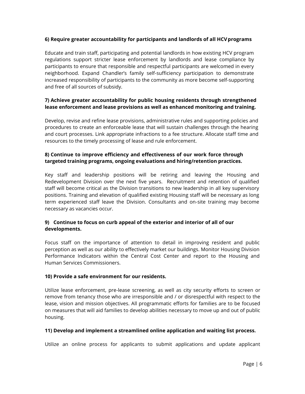#### **6) Require greater accountability for participants and landlords of all HCVprograms**

Educate and train staff, participating and potential landlords in how existing HCV program regulations support stricter lease enforcement by landlords and lease compliance by participants to ensure that responsible and respectful participants are welcomed in every neighborhood. Expand Chandler's family self-sufficiency participation to demonstrate increased responsibility of participants to the community as more become self-supporting and free of all sources of subsidy.

#### **7) Achieve greater accountability for public housing residents through strengthened lease enforcement and lease provisions as well as enhanced monitoring and training.**

Develop, revise and refine lease provisions, administrative rules and supporting policies and procedures to create an enforceable lease that will sustain challenges through the hearing and court processes. Link appropriate infractions to a fee structure. Allocate staff time and resources to the timely processing of lease and rule enforcement.

#### **8) Continue to improve efficiency and effectiveness of our work force through targeted training programs, ongoing evaluations and hiring/retention practices.**

Key staff and leadership positions will be retiring and leaving the Housing and Redevelopment Division over the next five years. Recruitment and retention of qualified staff will become critical as the Division transitions to new leadership in all key supervisory positions. Training and elevation of qualified existing Housing staff will be necessary as long term experienced staff leave the Division. Consultants and on-site training may become necessary as vacancies occur.

#### **9) Continue to focus on curb appeal of the exterior and interior of all of our developments.**

Focus staff on the importance of attention to detail in improving resident and public perception as well as our ability to effectively market our buildings. Monitor Housing Division Performance Indicators within the Central Cost Center and report to the Housing and Human Services Commissioners.

#### **10) Provide a safe environment for our residents.**

Utilize lease enforcement, pre-lease screening, as well as city security efforts to screen or remove from tenancy those who are irresponsible and / or disrespectful with respect to the lease, vision and mission objectives. All programmatic efforts for families are to be focused on measures that will aid families to develop abilities necessary to move up and out of public housing.

#### **11) Develop and implement a streamlined online application and waiting list process.**

Utilize an online process for applicants to submit applications and update applicant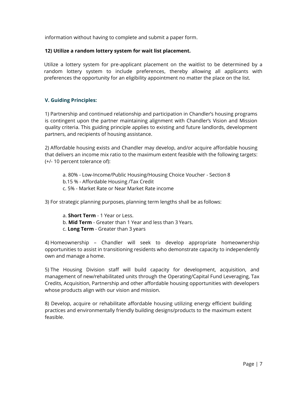information without having to complete and submit a paper form.

#### **12) Utilize a random lottery system for wait list placement.**

Utilize a lottery system for pre-applicant placement on the waitlist to be determined by a random lottery system to include preferences, thereby allowing all applicants with preferences the opportunity for an eligibility appointment no matter the place on the list.

#### <span id="page-6-0"></span>**V. Guiding Principles:**

1) Partnership and continued relationship and participation in Chandler's housing programs is contingent upon the partner maintaining alignment with Chandler's Vision and Mission quality criteria. This guiding principle applies to existing and future landlords, development partners, and recipients of housing assistance.

2) Affordable housing exists and Chandler may develop, and/or acquire affordable housing that delivers an income mix ratio to the maximum extent feasible with the following targets: (+/- 10 percent tolerance of):

- a. 80% Low-Income/Public Housing/Housing Choice Voucher Section 8
- b.15 % Affordable Housing /Tax Credit
- c. 5% Market Rate or Near Market Rate income

3) For strategic planning purposes, planning term lengths shall be as follows:

- a. **Short Term**  1 Year or Less.
- b. **Mid Term**  Greater than 1 Year and less than 3 Years.
- c. **Long Term**  Greater than 3 years

4) Homeownership – Chandler will seek to develop appropriate homeownership opportunities to assist in transitioning residents who demonstrate capacity to independently own and manage a home.

5) The Housing Division staff will build capacity for development, acquisition, and management of new/rehabilitated units through the Operating/Capital Fund Leveraging, Tax Credits, Acquisition, Partnership and other affordable housing opportunities with developers whose products align with our vision and mission.

8) Develop, acquire or rehabilitate affordable housing utilizing energy efficient building practices and environmentally friendly building designs/products to the maximum extent feasible.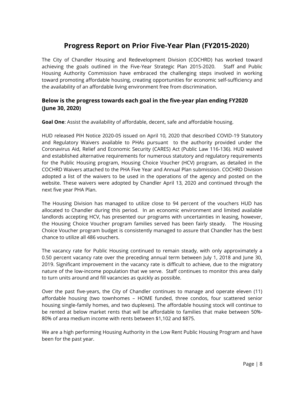### **Progress Report on Prior Five-Year Plan (FY2015-2020)**

<span id="page-7-0"></span>The City of Chandler Housing and Redevelopment Division (COCHRD) has worked toward achieving the goals outlined in the Five-Year Strategic Plan 2015-2020. Staff and Public Housing Authority Commission have embraced the challenging steps involved in working toward promoting affordable housing, creating opportunities for economic self-sufficiency and the availability of an affordable living environment free from discrimination.

#### **Below is the progress towards each goal in the five-year plan ending FY2020 (June 30, 2020)**

**Goal One**: Assist the availability of affordable, decent, safe and affordable housing.

HUD released PIH Notice 2020-05 issued on April 10, 2020 that described COVID-19 Statutory and Regulatory Waivers available to PHAs pursuant to the authority provided under the Coronavirus Aid, Relief and Economic Security (CARES) Act (Public Law 116-136). HUD waived and established alternative requirements for numerous statutory and regulatory requirements for the Public Housing program, Housing Choice Voucher (HCV) program, as detailed in the COCHRD Waivers attached to the PHA Five Year and Annual Plan submission. COCHRD Division adopted a list of the waivers to be used in the operations of the agency and posted on the website. These waivers were adopted by Chandler April 13, 2020 and continued through the next five year PHA Plan.

The Housing Division has managed to utilize close to 94 percent of the vouchers HUD has allocated to Chandler during this period. In an economic environment and limited available landlords accepting HCV, has presented our programs with uncertainties in leasing, however, the Housing Choice Voucher program families served has been fairly steady. The Housing Choice Voucher program budget is consistently managed to assure that Chandler has the best chance to utilize all 486 vouchers.

The vacancy rate for Public Housing continued to remain steady, with only approximately a 0.50 percent vacancy rate over the preceding annual term between July 1, 2018 and June 30, 2019. Significant improvement in the vacancy rate is difficult to achieve, due to the migratory nature of the low-income population that we serve. Staff continues to monitor this area daily to turn units around and fill vacancies as quickly as possible.

Over the past five-years, the City of Chandler continues to manage and operate eleven (11) affordable housing (two townhomes – HOME funded, three condos, four scattered senior housing single-family homes, and two duplexes). The affordable housing stock will continue to be rented at below market rents that will be affordable to families that make between 50%- 80% of area medium income with rents between \$1,102 and \$875.

We are a high performing Housing Authority in the Low Rent Public Housing Program and have been for the past year.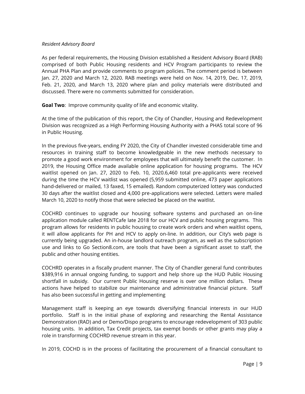#### *Resident Advisory Board*

As per federal requirements, the Housing Division established a Resident Advisory Board (RAB) comprised of both Public Housing residents and HCV Program participants to review the Annual PHA Plan and provide comments to program policies. The comment period is between Jan. 27, 2020 and March 12, 2020. RAB meetings were held on Nov. 14, 2019, Dec. 17, 2019, Feb. 21, 2020, and March 13, 2020 where plan and policy materials were distributed and discussed. There were no comments submitted for consideration.

**Goal Two**: Improve community quality of life and economic vitality.

At the time of the publication of this report, the City of Chandler, Housing and Redevelopment Division was recognized as a High Performing Housing Authority with a PHAS total score of 96 in Public Housing.

In the previous five-years, ending FY 2020, the City of Chandler invested considerable time and resources in training staff to become knowledgeable in the new methods necessary to promote a good work environment for employees that will ultimately benefit the customer. In 2019, the Housing Office made available online application for housing programs. The HCV waitlist opened on Jan. 27, 2020 to Feb. 10, 2020.6,460 total pre-applicants were received during the time the HCV waitlist was opened (5,959 submitted online, 473 paper applications hand-delivered or mailed, 13 faxed, 15 emailed). Random computerized lottery was conducted 30 days after the waitlist closed and 4,000 pre-applications were selected. Letters were mailed March 10, 2020 to notify those that were selected be placed on the waitlist.

COCHRD continues to upgrade our housing software systems and purchased an on-line application module called RENTCafe late 2018 for our HCV and public housing programs. This program allows for residents in public housing to create work orders and when waitlist opens, it will allow applicants for PH and HCV to apply on-line. In addition, our City's web page is currently being upgraded. An in-house landlord outreach program, as well as the subscription use and links to Go Section8.com, are tools that have been a significant asset to staff, the public and other housing entities.

COCHRD operates in a fiscally prudent manner. The City of Chandler general fund contributes \$389,916 in annual ongoing funding, to support and help shore up the HUD Public Housing shortfall in subsidy. Our current Public Housing reserve is over one million dollars. These actions have helped to stabilize our maintenance and administrative financial picture. Staff has also been successful in getting and implementing

Management staff is keeping an eye towards diversifying financial interests in our HUD portfolio. Staff is in the initial phase of exploring and researching the Rental Assistance Demonstration (RAD) and or Demo/Dispo programs to encourage redevelopment of 303 public housing units. In addition, Tax Credit projects, tax exempt bonds or other grants may play a role in transforming COCHRD revenue stream in this year.

In 2019, COCHD is in the process of facilitating the procurement of a financial consultant to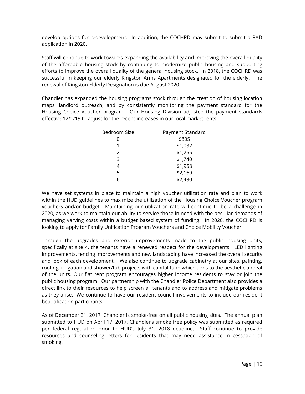develop options for redevelopment. In addition, the COCHRD may submit to submit a RAD application in 2020.

Staff will continue to work towards expanding the availability and improving the overall quality of the affordable housing stock by continuing to modernize public housing and supporting efforts to improve the overall quality of the general housing stock. In 2018, the COCHRD was successful in keeping our elderly Kingston Arms Apartments designated for the elderly. The renewal of Kingston Elderly Designation is due August 2020.

Chandler has expanded the housing programs stock through the creation of housing location maps, landlord outreach, and by consistently monitoring the payment standard for the Housing Choice Voucher program. Our Housing Division adjusted the payment standards effective 12/1/19 to adjust for the recent increases in our local market rents.

| Bedroom Size  | Payment Standard |
|---------------|------------------|
| 0             | \$805            |
|               | \$1,032          |
| $\mathcal{P}$ | \$1,255          |
| 3             | \$1,740          |
| 4             | \$1,958          |
| 5             | \$2,169          |
|               | \$2,430          |

We have set systems in place to maintain a high voucher utilization rate and plan to work within the HUD guidelines to maximize the utilization of the Housing Choice Voucher program vouchers and/or budget. Maintaining our utilization rate will continue to be a challenge in 2020, as we work to maintain our ability to service those in need with the peculiar demands of managing varying costs within a budget based system of funding. In 2020, the COCHRD is looking to apply for Family Unification Program Vouchers and Choice Mobility Voucher.

Through the upgrades and exterior improvements made to the public housing units, specifically at site 4, the tenants have a renewed respect for the developments. LED lighting improvements, fencing improvements and new landscaping have increased the overall security and look of each development. We also continue to upgrade cabinetry at our sites, painting, roofing, irrigation and shower/tub projects with capital fund which adds to the aesthetic appeal of the units. Our flat rent program encourages higher income residents to stay or join the public housing program. Our partnership with the Chandler Police Department also provides a direct link to their resources to help screen all tenants and to address and mitigate problems as they arise. We continue to have our resident council involvements to include our resident beautification participants.

As of December 31, 2017, Chandler is smoke-free on all public housing sites. The annual plan submitted to HUD on April 17, 2017, Chandler's smoke free policy was submitted as required per federal regulation prior to HUD's July 31, 2018 deadline. Staff continue to provide resources and counseling letters for residents that may need assistance in cessation of smoking.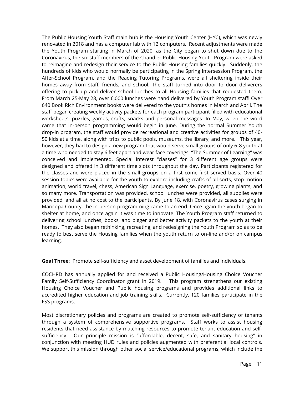The Public Housing Youth Staff main hub is the Housing Youth Center (HYC), which was newly renovated in 2018 and has a computer lab with 12 computers. Recent adjustments were made the Youth Program starting in March of 2020, as the City began to shut down due to the Coronavirus, the six staff members of the Chandler Public Housing Youth Program were asked to reimagine and redesign their service to the Public Housing families quickly. Suddenly, the hundreds of kids who would normally be participating in the Spring Intersession Program, the After-School Program, and the Reading Tutoring Programs, were all sheltering inside their homes away from staff, friends, and school. The staff turned into door to door deliverers offering to pick up and deliver school lunches to all Housing families that requested them. From March 25-May 28, over 6,000 lunches were hand delivered by Youth Program staff! Over 640 Book Rich Environment books were delivered to the youth's homes in March and April. The staff began creating weekly activity packets for each program participant filled with educational worksheets, puzzles, games, crafts, snacks and personal messages. In May, when the word came that in-person programming would begin in June. During the normal Summer Youth drop-in program, the staff would provide recreational and creative activities for groups of 40- 50 kids at a time, along with trips to public pools, museums, the library, and more. This year, however, they had to design a new program that would serve small groups of only 6-8 youth at a time who needed to stay 6 feet apart and wear face coverings. "The Summer of Learning" was conceived and implemented. Special interest "classes" for 3 different age groups were designed and offered in 3 different time slots throughout the day. Participants registered for the classes and were placed in the small groups on a first come-first served basis. Over 40 session topics were available for the youth to explore including crafts of all sorts, stop motion animation, world travel, chess, American Sign Language, exercise, poetry, growing plants, and so many more. Transportation was provided, school lunches were provided, all supplies were provided, and all at no cost to the participants. By June 18, with Coronavirus cases surging in Maricopa County, the in-person programming came to an end. Once again the youth began to shelter at home, and once again it was time to innovate. The Youth Program staff returned to delivering school lunches, books, and bigger and better activity packets to the youth at their homes. They also began rethinking, recreating, and redesigning the Youth Program so as to be ready to best serve the Housing families when the youth return to on-line and/or on campus learning.

**Goal Three**: Promote self-sufficiency and asset development of families and individuals.

COCHRD has annually applied for and received a Public Housing/Housing Choice Voucher Family Self-Sufficiency Coordinator grant in 2019. This program strengthens our existing Housing Choice Voucher and Public housing programs and provides additional links to accredited higher education and job training skills. Currently, 120 families participate in the FSS programs.

Most discretionary policies and programs are created to promote self-sufficiency of tenants through a system of comprehensive supportive programs. Staff works to assist housing residents that need assistance by matching resources to promote tenant education and selfsufficiency. Our principle mission is "affordable, decent, safe, and sanitary housing" in conjunction with meeting HUD rules and policies augmented with preferential local controls. We support this mission through other social service/educational programs, which include the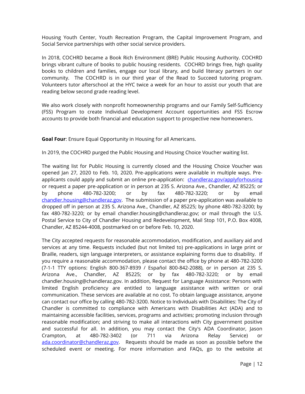Housing Youth Center, Youth Recreation Program, the Capital Improvement Program, and Social Service partnerships with other social service providers.

In 2018, COCHRD became a Book Rich Environment (BRE) Public Housing Authority. COCHRD brings vibrant culture of books to public housing residents. COCHRD brings free, high quality books to children and families, engage our local library, and build literacy partners in our community. The COCHRD is in our third year of the Read to Succeed tutoring program. Volunteers tutor afterschool at the HYC twice a week for an hour to assist our youth that are reading below second grade reading level.

We also work closely with nonprofit homeownership programs and our Family Self-Sufficiency (FSS) Program to create Individual Development Account opportunities and FSS Escrow accounts to provide both financial and education support to prospective new homeowners.

**Goal Four**: Ensure Equal Opportunity in Housing for all Americans.

In 2019, the COCHRD purged the Public Housing and Housing Choice Voucher waiting list.

The waiting list for Public Housing is currently closed and the Housing Choice Voucher was opened Jan 27, 2020 to Feb. 10, 2020. Pre-applications were available in multiple ways. Preapplicants could apply and submit an online pre-application: [chandleraz.gov/applyforhousing](http://www.chandleraz.gov/applyforhousing) or request a paper pre-application or in person at 235 S. Arizona Ave., Chandler, AZ 85225; or by phone 480-782-3200; or by fax 480-782-3220; or by email [chandler.housing@chandleraz.gov.](mailto:chandler.housing@chandleraz.gov) The submission of a paper pre-application was available to dropped off in person at 235 S. Arizona Ave., Chandler, AZ 85225; by phone 480-782-3200; by fax 480-782-3220; or by email chandler.housing@chandleraz.gov; or mail through the U.S. Postal Service to City of Chandler Housing and Redevelopment, Mail Stop 101, P.O. Box 4008, Chandler, AZ 85244-4008, postmarked on or before Feb. 10, 2020.

The City accepted requests for reasonable accommodation, modification, and auxiliary aid and services at any time. Requests included (but not limited to) pre-applications in large print or Braille, readers, sign language interpreters, or assistance explaining forms due to disability. If you require a reasonable accommodation, please contact the office by phone at 480-782-3200 (7-1-1 TTY options: English 800-367-8939 / Español 800-842-2088), or in person at 235 S. Arizona Ave., Chandler, AZ 85225; or by fax 480-782-3220; or by email chandler.housing@chandleraz.gov. In addition, Request for Language Assistance: Persons with limited English proficiency are entitled to language assistance with written or oral communication. These services are available at no cost. To obtain language assistance, anyone can contact our office by calling 480-782-3200. Notice to Individuals with Disabilities: The City of Chandler is committed to compliance with Americans with Disabilities Act (ADA) and to maintaining accessible facilities, services, programs and activities; promoting inclusion through reasonable modification; and striving to make all interactions with City government positive and successful for all. In addition, you may contact the City's ADA Coordinator, Jason Crampton, at 480-782-3402 (or 711 via Arizona Relay Service) or [ada.coordinator@chandleraz.gov.](mailto:ada.coordinator@chandleraz.gov) Requests should be made as soon as possible before the scheduled event or meeting. For more information and FAQs, go to the website at